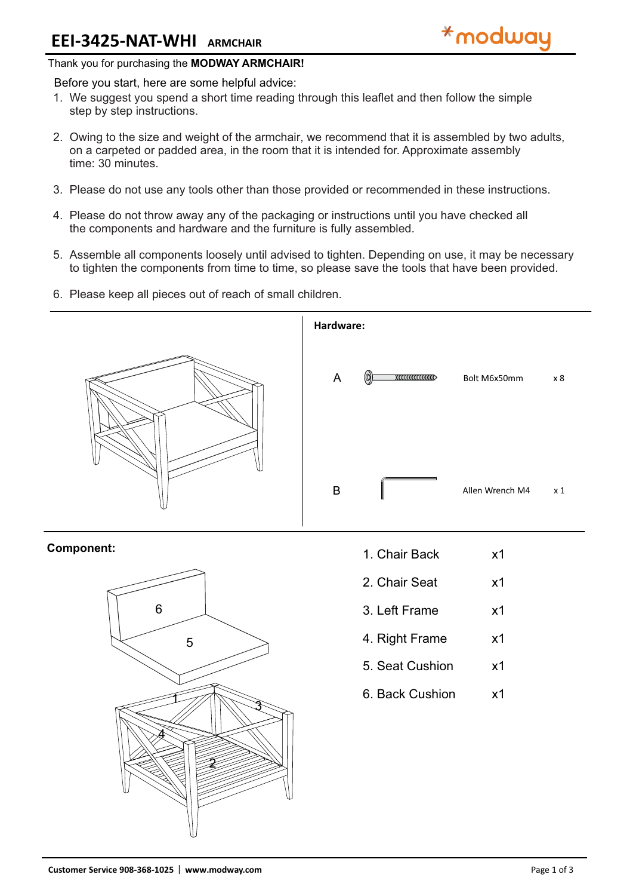## Thank you for purchasing the **MODWAY ARMCHAIR!**

### Before you start, here are some helpful advice:

- We suggest you spend a short time reading through this leaflet and then follow the simple 1. step by step instructions.
- 2. Owing to the size and weight of the armchair, we recommend that it is assembled by two adults, on a carpeted or padded area, in the room that it is intended for. Approximate assembly time: 30 minutes.
- Please do not use any tools other than those provided or recommended in these instructions. 3.
- 4. Please do not throw away any of the packaging or instructions until you have checked all the components and hardware and the furniture is fully assembled.
- 5. Assemble all components loosely until advised to tighten. Depending on use, it may be necessary to tighten the components from time to time, so please save the tools that have been provided.
- 6. Please keep all pieces out of reach of small children.



## **Component:**



- 1. Chair Back x1
- 2. Chair Seat x1
- 3. Left Frame x1
- 4. Right Frame x1
- 5. Seat Cushion x1
- 6. Back Cushion x1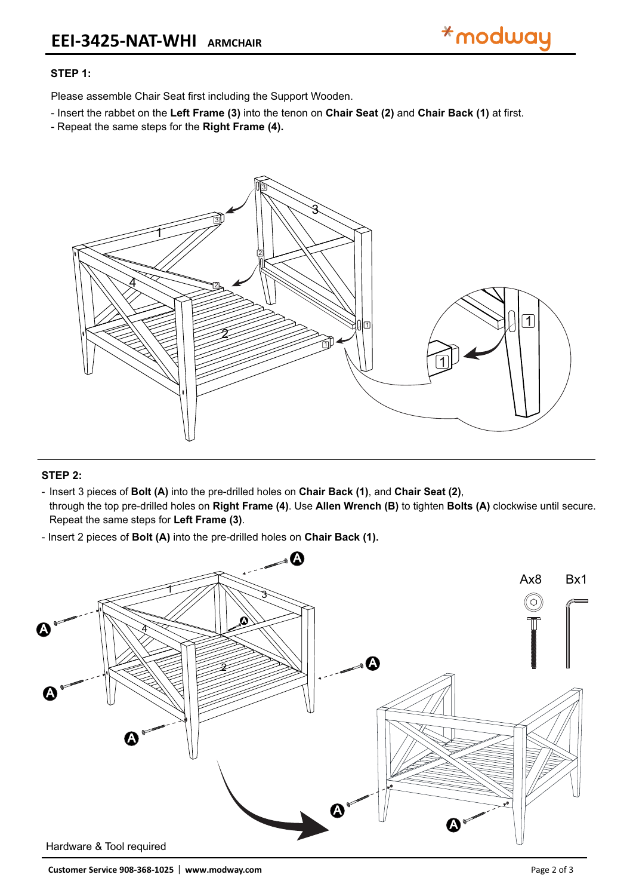

# **STEP 1:**

Please assemble Chair Seat first including the Support Wooden.

- Insert the rabbet on the **Left Frame (3)** into the tenon on **Chair Seat (2)** and **Chair Back (1)** at first.
- Repeat the same steps for the **Right Frame (4).**



#### **STEP 2:**

- Insert 3 pieces of **Bolt (A)** into the pre-drilled holes on **Chair Back (1)**, and **Chair Seat (2)**,

Repeat the same steps for **Left Frame (3)**. through the top pre-drilled holes on **Right Frame (4)**. Use **Allen Wrench (B)** to tighten **Bolts (A)** clockwise until secure.

- Insert 2 pieces of **Bolt (A)** into the pre-drilled holes on **Chair Back (1).**